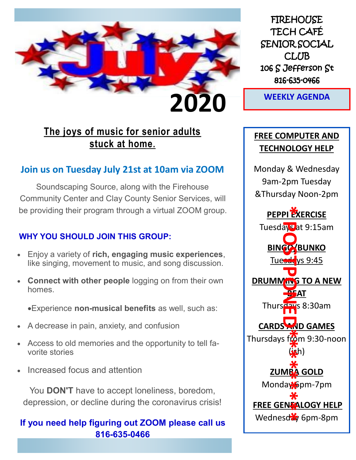

# **The joys of music for senior adults stuck at home.**

## **Join us on Tuesday July 21st at 10am via ZOOM**

Soundscaping Source, along with the Firehouse Community Center and Clay County Senior Services, will be providing their program through a virtual ZOOM group.

#### **WHY YOU SHOULD JOIN THIS GROUP:**

- Enjoy a variety of **rich, engaging music experiences**, like singing, movement to music, and song discussion.
- **Connect with other people** logging on from their own homes.

•Experience **non-musical benefits** as well, such as:

- A decrease in pain, anxiety, and confusion
- Access to old memories and the opportunity to tell favorite stories
- Increased focus and attention

You **DON'T** have to accept loneliness, boredom, depression, or decline during the coronavirus crisis!

#### **If you need help figuring out ZOOM please call us 816-635-0466**

**FIREHOUSE** TECH CAFÉ SENIOR SOCIAL CLUB 106 S Jefferson St 816-635-0466

**WEEKLY AGENDA**

# **FREE COMPUTER AND TECHNOLOGY HELP**

Monday & Wednesday 9am-2pm Tuesday &Thursday Noon-2pm

**PEPPI EXERCISE** Tuesdays at 9:15am **BINGO/BUNKO**  Tuesdays 9:45 **DRUMMING TO A NEW BEAT**  Thursdays 8:30am **CARDS AND GAMES** Thursdays from 9:30-noon  $(i_{2})$ **ZUMBA GOLD**  Monday 6pm-7pm **FREE GENEALOGY HELP** Wednesd<sup>3</sup> 6pm-8pm **\* POSTPONED\*\*\*\*\*\*\*\*\***